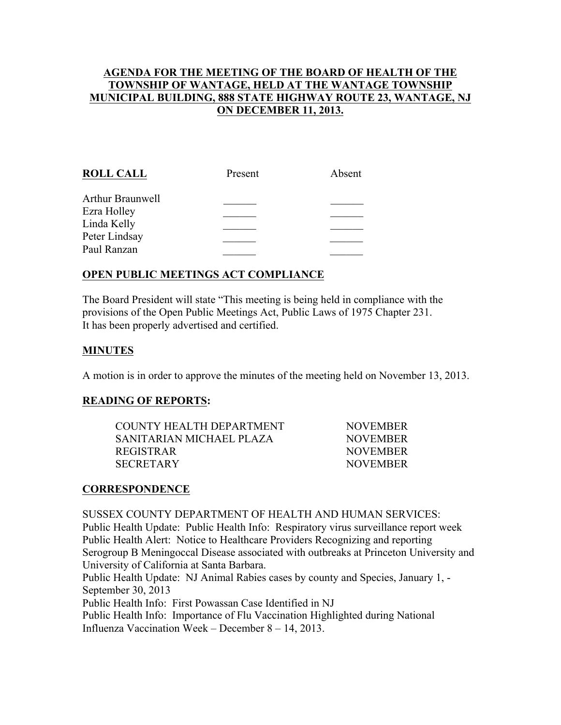## AGENDA FOR THE MEETING OF THE BOARD OF HEALTH OF THE TOWNSHIP OF WANTAGE, HELD AT THE WANTAGE TOWNSHIP MUNICIPAL BUILDING, 888 STATE HIGHWAY ROUTE 23, WANTAGE, NJ ON DECEMBER 11, 2013.

| <b>ROLL CALL</b> | Present | Absent |
|------------------|---------|--------|
| Arthur Braunwell |         |        |
| Ezra Holley      |         |        |
| Linda Kelly      |         |        |
| Peter Lindsay    |         |        |
| Paul Ranzan      |         |        |
|                  |         |        |

## OPEN PUBLIC MEETINGS ACT COMPLIANCE

The Board President will state "This meeting is being held in compliance with the provisions of the Open Public Meetings Act, Public Laws of 1975 Chapter 231. It has been properly advertised and certified.

#### MINUTES

A motion is in order to approve the minutes of the meeting held on November 13, 2013.

#### READING OF REPORTS:

| COUNTY HEALTH DEPARTMENT. | <b>NOVEMBER</b> |
|---------------------------|-----------------|
| SANITARIAN MICHAEL PLAZA  | <b>NOVEMBER</b> |
| REGISTRAR-                | <b>NOVEMBER</b> |
| SECRETARY                 | <b>NOVEMBER</b> |

#### **CORRESPONDENCE**

SUSSEX COUNTY DEPARTMENT OF HEALTH AND HUMAN SERVICES: Public Health Update: Public Health Info: Respiratory virus surveillance report week Public Health Alert: Notice to Healthcare Providers Recognizing and reporting Serogroup B Meningoccal Disease associated with outbreaks at Princeton University and University of California at Santa Barbara. Public Health Update: NJ Animal Rabies cases by county and Species, January 1, - September 30, 2013

Public Health Info: First Powassan Case Identified in NJ Public Health Info: Importance of Flu Vaccination Highlighted during National

Influenza Vaccination Week – December 8 – 14, 2013.